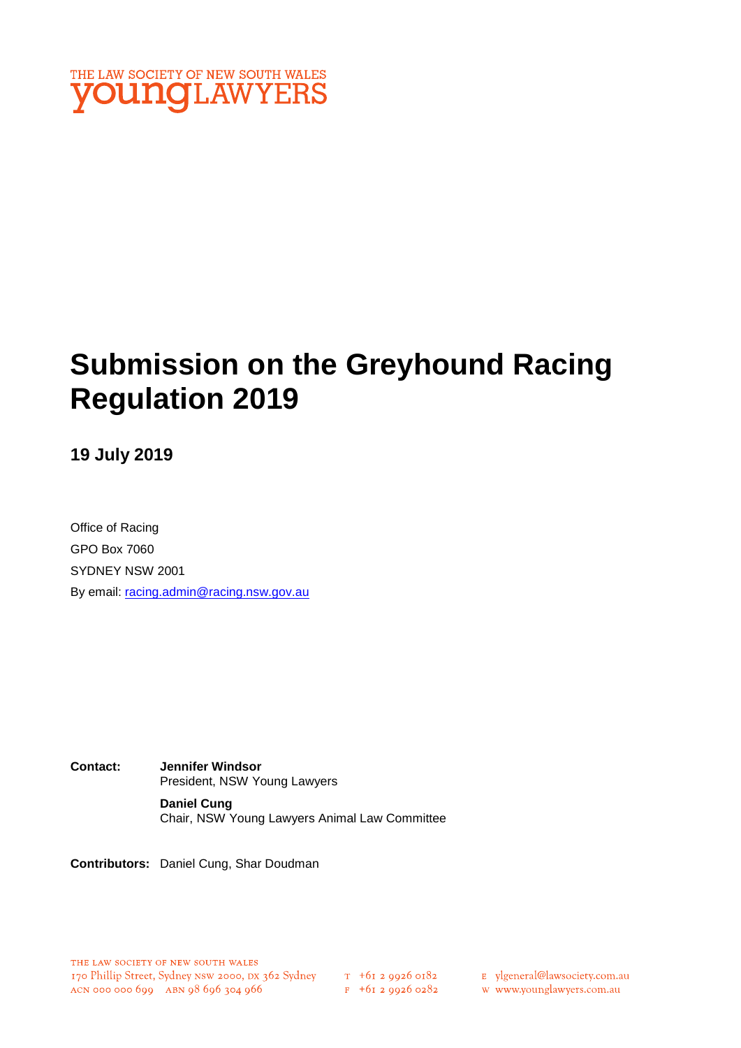

# **Submission on the Greyhound Racing Regulation 2019**

## **19 July 2019**

Office of Racing GPO Box 7060 SYDNEY NSW 2001 By email: racing.admin@racing.nsw.gov.au

**Contact: Jennifer Windsor**  President, NSW Young Lawyers **Daniel Cung**

Chair, NSW Young Lawyers Animal Law Committee

**Contributors:** Daniel Cung, Shar Doudman

T +01 2 9920 0182<br>F +61 2 9926 0282

E ylgeneral@lawsociety.com.au

w www.younglawyers.com.au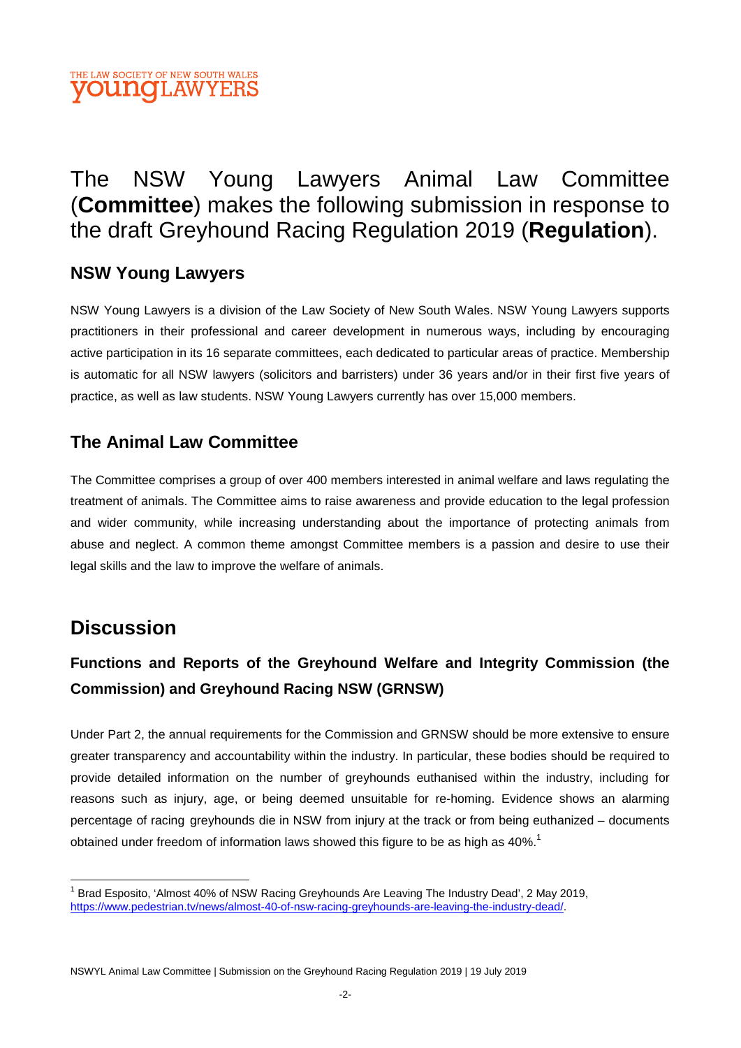

# The NSW Young Lawyers Animal Law Committee (**Committee**) makes the following submission in response to the draft Greyhound Racing Regulation 2019 (**Regulation**).

## **NSW Young Lawyers**

NSW Young Lawyers is a division of the Law Society of New South Wales. NSW Young Lawyers supports practitioners in their professional and career development in numerous ways, including by encouraging active participation in its 16 separate committees, each dedicated to particular areas of practice. Membership is automatic for all NSW lawyers (solicitors and barristers) under 36 years and/or in their first five years of practice, as well as law students. NSW Young Lawyers currently has over 15,000 members.

## **The Animal Law Committee**

The Committee comprises a group of over 400 members interested in animal welfare and laws regulating the treatment of animals. The Committee aims to raise awareness and provide education to the legal profession and wider community, while increasing understanding about the importance of protecting animals from abuse and neglect. A common theme amongst Committee members is a passion and desire to use their legal skills and the law to improve the welfare of animals.

# **Discussion**

# **Functions and Reports of the Greyhound Welfare and Integrity Commission (the Commission) and Greyhound Racing NSW (GRNSW)**

Under Part 2, the annual requirements for the Commission and GRNSW should be more extensive to ensure greater transparency and accountability within the industry. In particular, these bodies should be required to provide detailed information on the number of greyhounds euthanised within the industry, including for reasons such as injury, age, or being deemed unsuitable for re-homing. Evidence shows an alarming percentage of racing greyhounds die in NSW from injury at the track or from being euthanized – documents obtained under freedom of information laws showed this figure to be as high as  $40\%$ .<sup>1</sup>

<sup>&</sup>lt;sup>1</sup> Brad Esposito, 'Almost 40% of NSW Racing Greyhounds Are Leaving The Industry Dead', 2 May 2019, https://www.pedestrian.tv/news/almost-40-of-nsw-racing-greyhounds-are-leaving-the-industry-dead/.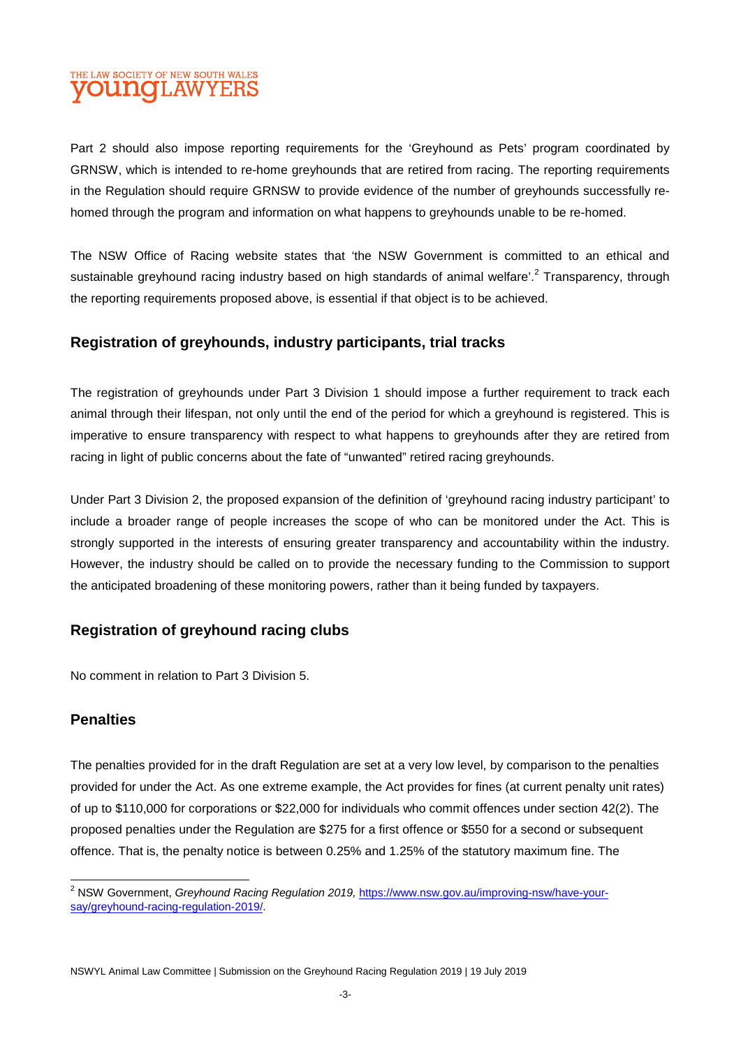#### THE LAW SOCIETY OF NEW SOUTH WALES **OUNCLAWYERS**

Part 2 should also impose reporting requirements for the 'Greyhound as Pets' program coordinated by GRNSW, which is intended to re-home greyhounds that are retired from racing. The reporting requirements in the Regulation should require GRNSW to provide evidence of the number of greyhounds successfully rehomed through the program and information on what happens to greyhounds unable to be re-homed.

The NSW Office of Racing website states that 'the NSW Government is committed to an ethical and sustainable greyhound racing industry based on high standards of animal welfare'.<sup>2</sup> Transparency, through the reporting requirements proposed above, is essential if that object is to be achieved.

#### **Registration of greyhounds, industry participants, trial tracks**

The registration of greyhounds under Part 3 Division 1 should impose a further requirement to track each animal through their lifespan, not only until the end of the period for which a greyhound is registered. This is imperative to ensure transparency with respect to what happens to greyhounds after they are retired from racing in light of public concerns about the fate of "unwanted" retired racing greyhounds.

Under Part 3 Division 2, the proposed expansion of the definition of 'greyhound racing industry participant' to include a broader range of people increases the scope of who can be monitored under the Act. This is strongly supported in the interests of ensuring greater transparency and accountability within the industry. However, the industry should be called on to provide the necessary funding to the Commission to support the anticipated broadening of these monitoring powers, rather than it being funded by taxpayers.

#### **Registration of greyhound racing clubs**

No comment in relation to Part 3 Division 5.

#### **Penalties**

The penalties provided for in the draft Regulation are set at a very low level, by comparison to the penalties provided for under the Act. As one extreme example, the Act provides for fines (at current penalty unit rates) of up to \$110,000 for corporations or \$22,000 for individuals who commit offences under section 42(2). The proposed penalties under the Regulation are \$275 for a first offence or \$550 for a second or subsequent offence. That is, the penalty notice is between 0.25% and 1.25% of the statutory maximum fine. The

<sup>&</sup>lt;sup>2</sup> NSW Government, *Greyhound Racing Regulation 2019,* https://www.nsw.gov.au/improving-nsw/have-yoursay/greyhound-racing-regulation-2019/.

NSWYL Animal Law Committee | Submission on the Greyhound Racing Regulation 2019 | 19 July 2019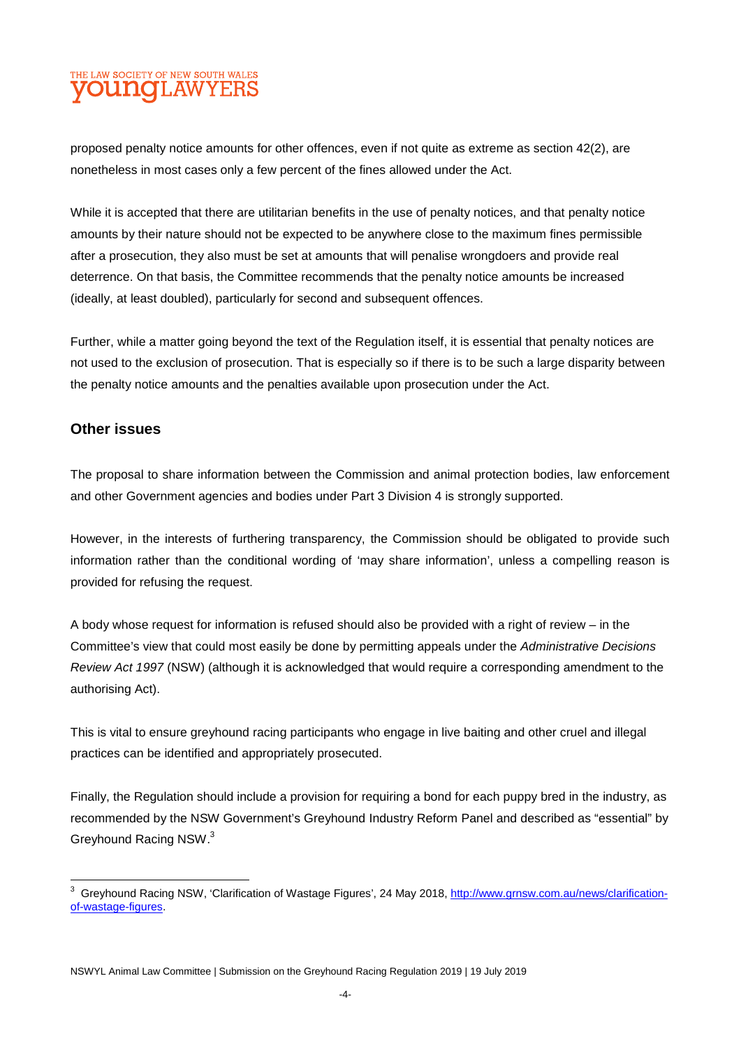### THE LAW SOCIETY OF NEW SOUTH WALES **OUNG**LAWYERS

proposed penalty notice amounts for other offences, even if not quite as extreme as section 42(2), are nonetheless in most cases only a few percent of the fines allowed under the Act.

While it is accepted that there are utilitarian benefits in the use of penalty notices, and that penalty notice amounts by their nature should not be expected to be anywhere close to the maximum fines permissible after a prosecution, they also must be set at amounts that will penalise wrongdoers and provide real deterrence. On that basis, the Committee recommends that the penalty notice amounts be increased (ideally, at least doubled), particularly for second and subsequent offences.

Further, while a matter going beyond the text of the Regulation itself, it is essential that penalty notices are not used to the exclusion of prosecution. That is especially so if there is to be such a large disparity between the penalty notice amounts and the penalties available upon prosecution under the Act.

#### **Other issues**

The proposal to share information between the Commission and animal protection bodies, law enforcement and other Government agencies and bodies under Part 3 Division 4 is strongly supported.

However, in the interests of furthering transparency, the Commission should be obligated to provide such information rather than the conditional wording of 'may share information', unless a compelling reason is provided for refusing the request.

A body whose request for information is refused should also be provided with a right of review – in the Committee's view that could most easily be done by permitting appeals under the *Administrative Decisions Review Act 1997* (NSW) (although it is acknowledged that would require a corresponding amendment to the authorising Act).

This is vital to ensure greyhound racing participants who engage in live baiting and other cruel and illegal practices can be identified and appropriately prosecuted.

Finally, the Regulation should include a provision for requiring a bond for each puppy bred in the industry, as recommended by the NSW Government's Greyhound Industry Reform Panel and described as "essential" by Greyhound Racing NSW.<sup>3</sup>

<sup>3</sup> Greyhound Racing NSW, 'Clarification of Wastage Figures', 24 May 2018, http://www.grnsw.com.au/news/clarificationof-wastage-figures.

NSWYL Animal Law Committee | Submission on the Greyhound Racing Regulation 2019 | 19 July 2019